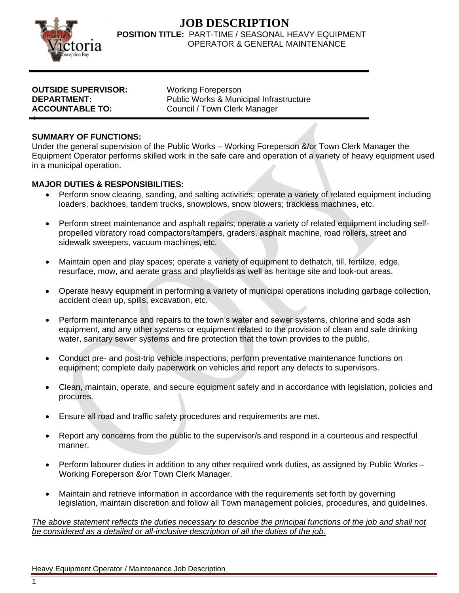

## **JOB DESCRIPTION POSITION TITLE:** PART-TIME / SEASONAL HEAVY EQUIPMENT OPERATOR & GENERAL MAINTENANCE

# **OUTSIDE SUPERVISOR:** Working Foreperson **ACCOUNTABLE TO:** Council / Town Clerk Manager +

**DEPARTMENT:** Public Works & Municipal Infrastructure

### **SUMMARY OF FUNCTIONS:**

Under the general supervision of the Public Works – Working Foreperson &/or Town Clerk Manager the Equipment Operator performs skilled work in the safe care and operation of a variety of heavy equipment used in a municipal operation.

### **MAJOR DUTIES & RESPONSIBILITIES:**

- Perform snow clearing, sanding, and salting activities; operate a variety of related equipment including loaders, backhoes, tandem trucks, snowplows, snow blowers; trackless machines, etc.
- Perform street maintenance and asphalt repairs; operate a variety of related equipment including selfpropelled vibratory road compactors/tampers, graders, asphalt machine, road rollers, street and sidewalk sweepers, vacuum machines, etc.
- Maintain open and play spaces; operate a variety of equipment to dethatch, till, fertilize, edge, resurface, mow, and aerate grass and playfields as well as heritage site and look-out areas.
- Operate heavy equipment in performing a variety of municipal operations including garbage collection, accident clean up, spills, excavation, etc.
- Perform maintenance and repairs to the town's water and sewer systems, chlorine and soda ash equipment, and any other systems or equipment related to the provision of clean and safe drinking water, sanitary sewer systems and fire protection that the town provides to the public.
- Conduct pre- and post-trip vehicle inspections; perform preventative maintenance functions on equipment; complete daily paperwork on vehicles and report any defects to supervisors.
- Clean, maintain, operate, and secure equipment safely and in accordance with legislation, policies and procures.
- Ensure all road and traffic safety procedures and requirements are met.
- Report any concerns from the public to the supervisor/s and respond in a courteous and respectful manner.
- Perform labourer duties in addition to any other required work duties, as assigned by Public Works Working Foreperson &/or Town Clerk Manager.
- Maintain and retrieve information in accordance with the requirements set forth by governing legislation, maintain discretion and follow all Town management policies, procedures, and guidelines.

*The above statement reflects the duties necessary to describe the principal functions of the job and shall not be considered as a detailed or all-inclusive description of all the duties of the job.*

#### Heavy Equipment Operator / Maintenance Job Description

1